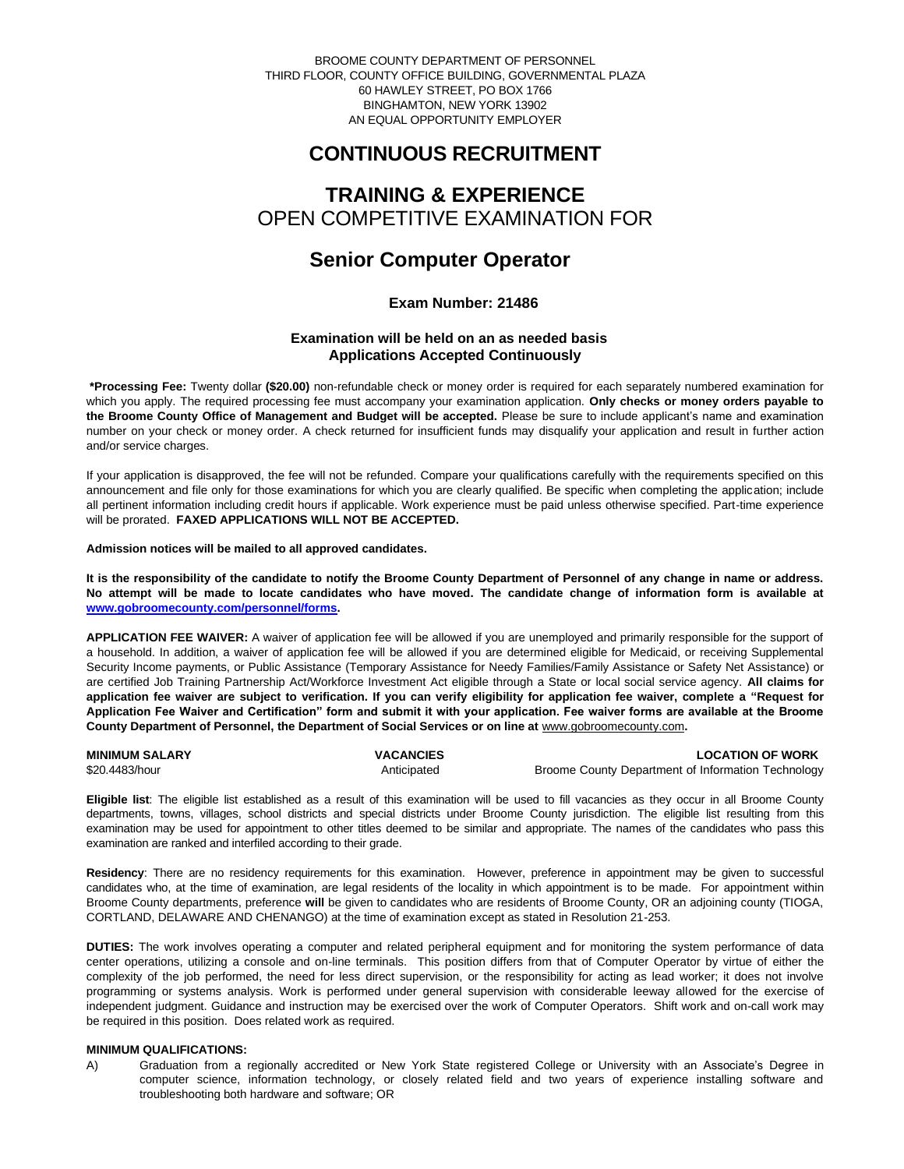BROOME COUNTY DEPARTMENT OF PERSONNEL THIRD FLOOR, COUNTY OFFICE BUILDING, GOVERNMENTAL PLAZA 60 HAWLEY STREET, PO BOX 1766 BINGHAMTON, NEW YORK 13902 AN EQUAL OPPORTUNITY EMPLOYER

# **CONTINUOUS RECRUITMENT**

# **TRAINING & EXPERIENCE** OPEN COMPETITIVE EXAMINATION FOR

# **Senior Computer Operator**

## **Exam Number: 21486**

## **Examination will be held on an as needed basis Applications Accepted Continuously**

**\*Processing Fee:** Twenty dollar **(\$20.00)** non-refundable check or money order is required for each separately numbered examination for which you apply. The required processing fee must accompany your examination application. **Only checks or money orders payable to the Broome County Office of Management and Budget will be accepted.** Please be sure to include applicant's name and examination number on your check or money order. A check returned for insufficient funds may disqualify your application and result in further action and/or service charges.

If your application is disapproved, the fee will not be refunded. Compare your qualifications carefully with the requirements specified on this announcement and file only for those examinations for which you are clearly qualified. Be specific when completing the application; include all pertinent information including credit hours if applicable. Work experience must be paid unless otherwise specified. Part-time experience will be prorated. **FAXED APPLICATIONS WILL NOT BE ACCEPTED.** 

#### **Admission notices will be mailed to all approved candidates.**

**It is the responsibility of the candidate to notify the Broome County Department of Personnel of any change in name or address. No attempt will be made to locate candidates who have moved. The candidate change of information form is available at [www.gobroomecounty.com/personnel/forms.](http://www.gobroomecounty.com/personnel/forms)** 

**APPLICATION FEE WAIVER:** A waiver of application fee will be allowed if you are unemployed and primarily responsible for the support of a household. In addition, a waiver of application fee will be allowed if you are determined eligible for Medicaid, or receiving Supplemental Security Income payments, or Public Assistance (Temporary Assistance for Needy Families/Family Assistance or Safety Net Assistance) or are certified Job Training Partnership Act/Workforce Investment Act eligible through a State or local social service agency. **All claims for application fee waiver are subject to verification. If you can verify eligibility for application fee waiver, complete a "Request for Application Fee Waiver and Certification" form and submit it with your application. Fee waiver forms are available at the Broome County Department of Personnel, the Department of Social Services or on line at** www.gobroomecounty.com**.** 

| <b>MINIMUM SALARY</b> | <b>VACANCIES</b> | <b>LOCATION OF WORK</b>                            |
|-----------------------|------------------|----------------------------------------------------|
| \$20,4483/hour        | Anticipated      | Broome County Department of Information Technology |

**Eligible list**: The eligible list established as a result of this examination will be used to fill vacancies as they occur in all Broome County departments, towns, villages, school districts and special districts under Broome County jurisdiction. The eligible list resulting from this examination may be used for appointment to other titles deemed to be similar and appropriate. The names of the candidates who pass this examination are ranked and interfiled according to their grade.

**Residency**: There are no residency requirements for this examination. However, preference in appointment may be given to successful candidates who, at the time of examination, are legal residents of the locality in which appointment is to be made. For appointment within Broome County departments, preference **will** be given to candidates who are residents of Broome County, OR an adjoining county (TIOGA, CORTLAND, DELAWARE AND CHENANGO) at the time of examination except as stated in Resolution 21-253.

**DUTIES:** The work involves operating a computer and related peripheral equipment and for monitoring the system performance of data center operations, utilizing a console and on-line terminals. This position differs from that of Computer Operator by virtue of either the complexity of the job performed, the need for less direct supervision, or the responsibility for acting as lead worker; it does not involve programming or systems analysis. Work is performed under general supervision with considerable leeway allowed for the exercise of independent judgment. Guidance and instruction may be exercised over the work of Computer Operators. Shift work and on-call work may be required in this position. Does related work as required.

### **MINIMUM QUALIFICATIONS:**

A) Graduation from a regionally accredited or New York State registered College or University with an Associate's Degree in computer science, information technology, or closely related field and two years of experience installing software and troubleshooting both hardware and software; OR